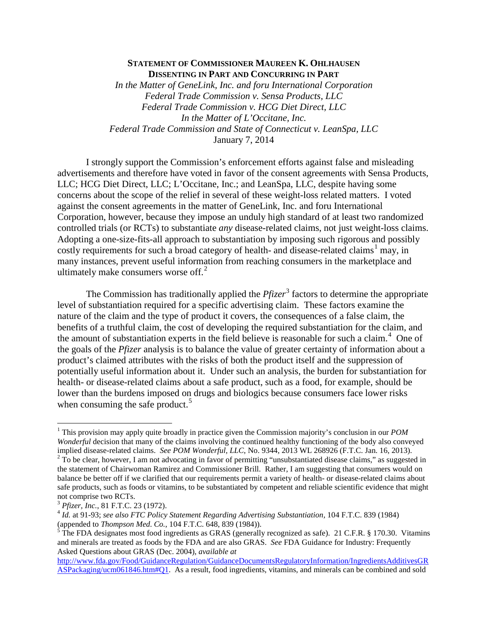## **STATEMENT OF COMMISSIONER MAUREEN K. OHLHAUSEN DISSENTING IN PART AND CONCURRING IN PART**

*In the Matter of GeneLink, Inc. and foru International Corporation Federal Trade Commission v. Sensa Products, LLC Federal Trade Commission v. HCG Diet Direct, LLC In the Matter of L'Occitane, Inc. Federal Trade Commission and State of Connecticut v. LeanSpa, LLC* January 7, 2014

I strongly support the Commission's enforcement efforts against false and misleading advertisements and therefore have voted in favor of the consent agreements with Sensa Products, LLC; HCG Diet Direct, LLC; L'Occitane, Inc.; and LeanSpa, LLC, despite having some concerns about the scope of the relief in several of these weight-loss related matters. I voted against the consent agreements in the matter of GeneLink, Inc. and foru International Corporation, however, because they impose an unduly high standard of at least two randomized controlled trials (or RCTs) to substantiate *any* disease-related claims, not just weight-loss claims. Adopting a one-size-fits-all approach to substantiation by imposing such rigorous and possibly costly requirements for such a broad category of health- and disease-related claims<sup>[1](#page-0-0)</sup> may, in many instances, prevent useful information from reaching consumers in the marketplace and ultimately make consumers worse off. $2$ 

The Commission has traditionally applied the *Pfizer*<sup>[3](#page-0-2)</sup> factors to determine the appropriate level of substantiation required for a specific advertising claim. These factors examine the nature of the claim and the type of product it covers, the consequences of a false claim, the benefits of a truthful claim, the cost of developing the required substantiation for the claim, and the amount of substantiation experts in the field believe is reasonable for such a claim.<sup>[4](#page-0-3)</sup> One of the goals of the *Pfizer* analysis is to balance the value of greater certainty of information about a product's claimed attributes with the risks of both the product itself and the suppression of potentially useful information about it. Under such an analysis, the burden for substantiation for health- or disease-related claims about a safe product, such as a food, for example, should be lower than the burdens imposed on drugs and biologics because consumers face lower risks when consuming the safe product.<sup>[5](#page-0-4)</sup>

<span id="page-0-0"></span> <sup>1</sup> This provision may apply quite broadly in practice given the Commission majority's conclusion in our *POM Wonderful* decision that many of the claims involving the continued healthy functioning of the body also conveyed implied disease-related claims. *See POM Wonderful, LLC*, No. 9344, 2013 WL 268926 (F.T.C. Jan. 16, 2013).  $2\text{ To be clear, however, I am not advocateding in favor of permitting "unsubstantiated disease claims," as suggested in }$ the statement of Chairwoman Ramirez and Commissioner Brill. Rather, I am suggesting that consumers would on balance be better off if we clarified that our requirements permit a variety of health- or disease-related claims about

<span id="page-0-1"></span>safe products, such as foods or vitamins, to be substantiated by competent and reliable scientific evidence that might not comprise two RCTs.<br><sup>3</sup> *Pfizer, Inc.*, 81 F.T.C. 23 (1972).<br><sup>4</sup> *Id.* at 91-93; *see also FTC Policy Statement Regarding Advertising Substantiation,* 104 F.T.C. 839 (1984)

<span id="page-0-2"></span>

<span id="page-0-3"></span>

<span id="page-0-4"></span><sup>(</sup>appended to *Thompson Med. Co.*, 104 F.T.C. 648, 839 (1984)).<br><sup>5</sup> The FDA designates most food ingredients as GRAS (generally recognized as safe). 21 C.F.R. § 170.30. Vitamins and minerals are treated as foods by the FDA and are also GRAS. *See* FDA Guidance for Industry: Frequently Asked Questions about GRAS (Dec. 2004), *available at* 

[http://www.fda.gov/Food/GuidanceRegulation/GuidanceDocumentsRegulatoryInformation/IngredientsAdditivesGR](http://www.fda.gov/Food/GuidanceRegulation/GuidanceDocumentsRegulatoryInformation/IngredientsAdditivesGRASPackaging/ucm061846.htm#Q1) [ASPackaging/ucm061846.htm#Q1.](http://www.fda.gov/Food/GuidanceRegulation/GuidanceDocumentsRegulatoryInformation/IngredientsAdditivesGRASPackaging/ucm061846.htm#Q1) As a result, food ingredients, vitamins, and minerals can be combined and sold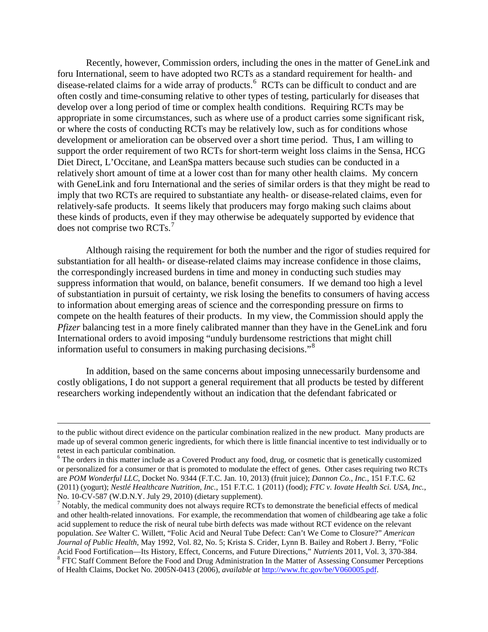Recently, however, Commission orders, including the ones in the matter of GeneLink and foru International, seem to have adopted two RCTs as a standard requirement for health- and disease-related claims for a wide array of products. [6](#page-1-0) RCTs can be difficult to conduct and are often costly and time-consuming relative to other types of testing, particularly for diseases that develop over a long period of time or complex health conditions. Requiring RCTs may be appropriate in some circumstances, such as where use of a product carries some significant risk, or where the costs of conducting RCTs may be relatively low, such as for conditions whose development or amelioration can be observed over a short time period. Thus, I am willing to support the order requirement of two RCTs for short-term weight loss claims in the Sensa, HCG Diet Direct, L'Occitane, and LeanSpa matters because such studies can be conducted in a relatively short amount of time at a lower cost than for many other health claims. My concern with GeneLink and foru International and the series of similar orders is that they might be read to imply that two RCTs are required to substantiate any health- or disease-related claims, even for relatively-safe products. It seems likely that producers may forgo making such claims about these kinds of products, even if they may otherwise be adequately supported by evidence that does not comprise two RCTs.<sup>[7](#page-1-1)</sup>

Although raising the requirement for both the number and the rigor of studies required for substantiation for all health- or disease-related claims may increase confidence in those claims, the correspondingly increased burdens in time and money in conducting such studies may suppress information that would, on balance, benefit consumers. If we demand too high a level of substantiation in pursuit of certainty, we risk losing the benefits to consumers of having access to information about emerging areas of science and the corresponding pressure on firms to compete on the health features of their products. In my view, the Commission should apply the *Pfizer* balancing test in a more finely calibrated manner than they have in the GeneLink and foru International orders to avoid imposing "unduly burdensome restrictions that might chill information useful to consumers in making purchasing decisions."[8](#page-1-2)

In addition, based on the same concerns about imposing unnecessarily burdensome and costly obligations, I do not support a general requirement that all products be tested by different researchers working independently without an indication that the defendant fabricated or

 $\overline{a}$ 

to the public without direct evidence on the particular combination realized in the new product. Many products are made up of several common generic ingredients, for which there is little financial incentive to test individually or to retest in each particular combination.<br><sup>6</sup> The orders in this matter include as a Covered Product any food, drug, or cosmetic that is genetically customized

<span id="page-1-0"></span>or personalized for a consumer or that is promoted to modulate the effect of genes. Other cases requiring two RCTs are *POM Wonderful LLC*, Docket No. 9344 (F.T.C. Jan. 10, 2013) (fruit juice); *Dannon Co., Inc.*, 151 F.T.C. 62 (2011) (yogurt); *Nestlé Healthcare Nutrition, Inc.*, 151 F.T.C. 1 (2011) (food); *FTC v. Iovate Health Sci. USA, Inc.*,

<span id="page-1-2"></span><span id="page-1-1"></span> $<sup>7</sup>$  Notably, the medical community does not always require RCTs to demonstrate the beneficial effects of medical</sup> and other health-related innovations. For example, the recommendation that women of childbearing age take a folic acid supplement to reduce the risk of neural tube birth defects was made without RCT evidence on the relevant population. *See* Walter C. Willett, "Folic Acid and Neural Tube Defect: Can't We Come to Closure?" *American Journal of Public Health*, May 1992, Vol. 82, No. 5; Krista S. Crider, Lynn B. Bailey and Robert J. Berry, "Folic Acid Food Fortification—Its History, Effect, Concerns, and Future Directions," Nutrients 2011, Vol. 3, 370-384.<br><sup>8</sup> FTC Staff Comment Before the Food and Drug Administration In the Matter of Assessing Consumer Perceptions of Health Claims, Docket No. 2005N-0413 (2006), *available at* [http://www.ftc.gov/be/V060005.pdf.](http://www.ftc.gov/be/V060005.pdf)